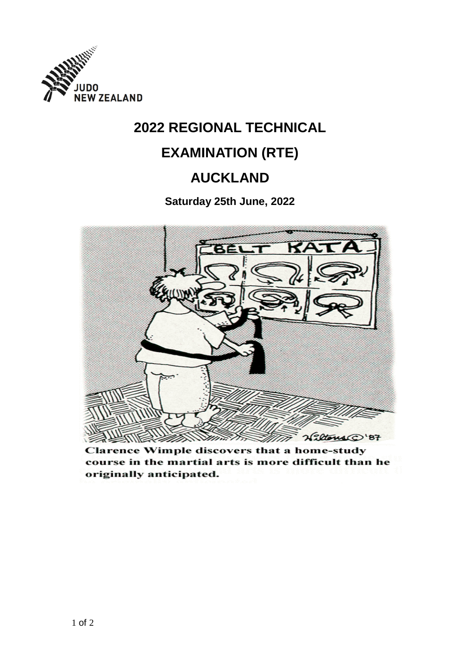

# **2022 REGIONAL TECHNICAL**

## **EXAMINATION (RTE)**

### **AUCKLAND**

**Saturday 25th June, 2022** 



Clarence Wimple discovers that a home-study course in the martial arts is more difficult than he originally anticipated.